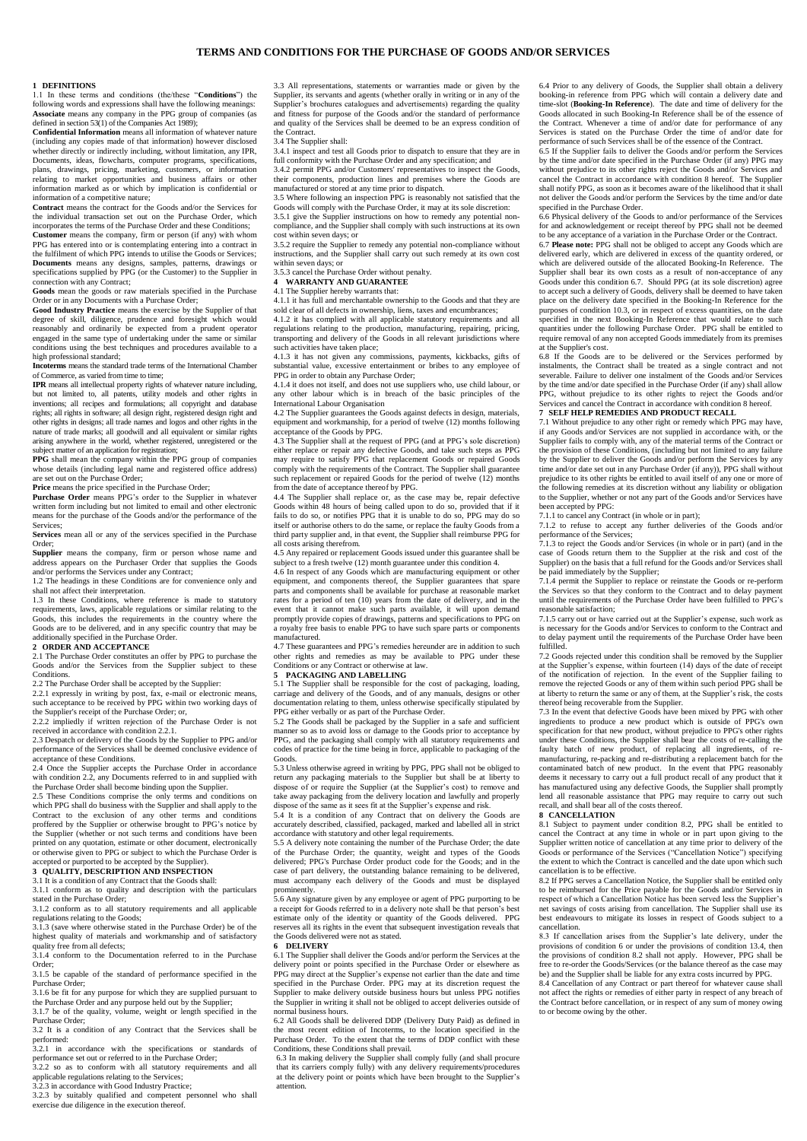# **1 DEFINITIONS**

1.1 In these terms and conditions (the/these "**Conditions**") the following words and expressions shall have the following mean **Associate** means any company in the PPG group of companies (as defined in section 53(1) of the Companies Act 1989); **Confidential Information** means all information of whatever nature

(including any copies made of that information) however disclosed whether directly or indirectly including, without limitation, any IPR, Documents, ideas, flowcharts, computer programs, specifications, plans, drawings, pricing, marketing, customers, or information relating to market opportunities and business affairs or other information marked as or which by implication is confidential or information of a competitive nature;

**Contract** means the contract for the Goods and/or the Services for the individual transaction set out on the Purchase Order, which incorporates the terms of the Purchase Order and these Conditions;<br>Customer means the company firm or person (if any) with who

**CUST AND AND AND AND THE COMPANY** COLLEGED AND MELTICALLY CONDUCTS. PPG has entered into or is contemplating entering into a contract in the fulfilment of which PPG intends to utilise the Goods or Services; **Documents** means any designs, samples, patterns, drawings or specifications supplied by PPG (or the Customer) to the Supplier in connection with any Contract; **Goods** mean the goods or raw materials specified in the Purchase

Order or in any Documents with a Purchase Order;

**Good Industry Practice** means the exercise by the Supplier of that degree of skill, diligence, prudence and foresight which would reasonably and ordinarily be expected from a prudent operator engaged in the same type of undertaking under the same or similar conditions using the best techniques and procedures available to a

high professional standard; **Incoterms** means the standard trade terms of the International Chamber

of Commerce, as varied from time to time; **IPR** means all intellectual property rights of whatever nature including, but not limited to, all patents, utility models and other rights in inventions; all recipes and formulations; all copyright and database rights; all rights in software; all design right, registered design right and other rights in designs; all trade names and logos and other rights in the nature of trade marks; all goodwill and all equivalent or similar rights arising anywhere in the world, whether registered, unregistered or the subject matter of an application for registration;

**PPG** shall mean the company within the PPG group of companies whose details (including legal name and registered office address) are set out on the Purchase Order;

**Price** means the price specified in the Purchase Order;

**Purchase Order** means PPG's order to the Supplier in whatever written form including but not limited to email and other electronic means for the purchase of the Goods and/or the performance of the Services;

**Services** mean all or any of the services specified in the Purchase Order;

**Supplier** means the company, firm or person whose name and ress appears on the Purchaser Order that supplies the Goods and/or performs the Services under any Contract;

1.2 The headings in these Conditions are for convenience only and shall not affect their interpretation.

1.3 In these Conditions, where reference is made to statutory requirements, laws, applicable regulations or similar relating to the Goods, this includes the requirements in the country where the Goods, this metalled the requirements in the country where the Goods are to be delivered, and in any specific country that may be

# additionally specified in the Purchase Order. **2 ORDER AND ACCEPTANCE**

2.1 The Purchase Order constitutes an offer by PPG to purchase the Goods and/or the Services from the Supplier subject to these **Conditions** 

2.2 The Purchase Order shall be accepted by the Supplier: 2.2.1 expressly in writing by post, fax, e-mail or electronic means, such acceptance to be received by PPG within two working days of the Supplier's receipt of the Purchase Order; or,

2.2.2 impliedly if written rejection of the Purchase Order is not received in accordance with condition 2.2.1.

2.3 Despatch or delivery of the Goods by the Supplier to PPG and/or 2.5 Besparen of derivery of the Soods by the Supplier to 11 S and/of<br>performance of the Services shall be deemed conclusive evidence of acceptance of these Conditions.

2.4 Once the Supplier accepts the Purchase Order in accordance with condition 2.2, any Documents referred to in and supplied with the Purchase Order shall become binding upon the Supplier.

2.5 These Conditions comprise the only terms and conditions on which PPG shall do business with the Supplier and shall apply to the Contract to the exclusion of any other terms and conditions proffered by the Supplier or otherwise brought to PPG's notice by the Supplier (whether or not such terms and conditions have been printed on any quotation, estimate or other document, electronically or otherwise given to PPG or subject to which the Purchase Order is

# accepted or purported to be accepted by the Supplier). **3 QUALITY, DESCRIPTION AND INSPECTION**

3.1 It is a condition of any Contract that the Goods shall: 3.1.1 conform as to quality and description with the particulars

stated in the Purchase Order; 3.1.2 conform as to all statutory requirements and all applicable

regulations relating to the Goods; 3.1.3 (save where otherwise stated in the Purchase Order) be of the

bit.<sup>3</sup> (save where otherwise stated in the r utenase order) be or the highest quality of materials and workmanship and of satisfactory quality free from all defects; 3.1.4 conform to the Documentation referred to in the Purchase

Order;

3.1.5 be capable of the standard of performance specified in the Purchase Order; 3.1.6 be fit for any purpose for which they are supplied pursuant to

the Purchase Order and any purpose held out by the Supplier; 3.1.7 be of the quality, volume, weight or length specified in the

Purchase Order; 3.2 It is a condition of any Contract that the Services shall be

performed: 3.2.1 in accordance with the specifications or standards of

performance set out or referred to in the Purchase Order; 3.2.2 so as to conform with all statutory requirements and all

applicable regulations relating to the Services;

3.2.3 in accordance with Good Industry Practice; 3.2.3 by suitably qualified and competent personnel who shall exercise due diligence in the execution thereof.

3.3 All representations, statements or warranties made or given by the Supplier, its servants and agents (whether orally in writing or in any of the Supplier's brochures catalogues and advertisements) regarding the quality and fitness for purpose of the Goods and/or the standard of performance and quality of the Services shall be deemed to be an express condition of the Contract.

3.4 The Supplier shall:

3.4.1 inspect and test all Goods prior to dispatch to ensure that they are in full conformity with the Purchase Order and any specification; and

3.4.2 permit PPG and/or Customers' representatives to inspect the Goods, their components, production lines and premises where the Goods are manufactured or stored at any time prior to dispatch.

3.5 Where following an inspection PPG is reasonably not satisfied that the

Goods will comply with the Purchase Order, it may at its sole discretion: 3.5.1 give the Supplier instructions on how to remedy any potential noncompliance, and the Supplier shall comply with such instructions at its own cost within seven days; or 3.5.2 require the Supplier to remedy any potential non-compliance without

instructions, and the Supplier shall carry out such remedy at its own cost within seven days; or

3.5.3 cancel the Purchase Order without penalty. **4 WARRANTY AND GUARANTEE**

# 4.1 The Supplier hereby warrants that:

4.1.1 it has full and merchantable ownership to the Goods and that they are

sold clear of all defects in ownership, liens, taxes and encumbrances;<br>4.1.2 it has complied with all applicable statutory requirements and all regulations relating to the production, manufacturing, repairing, pricing, transporting and delivery of the Goods in all relevant jurisdictions where such activities have taken place;

4.1.3 it has not given any commissions, payments, kickbacks, gifts of substantial value, excessive entertainment or bribes to any employee of PPG in order to obtain any Purchase Order; 4.1.4 it does not itself, and does not use suppliers who, use child labour, or

any other labour which is in breach of the basic principles of the International Labour Organisation

4.2 The Supplier guarantees the Goods against defects in design, materials, equipment and workmanship, for a period of twelve (12) months following acceptance of the Goods by PPG.

The Supplier shall at the request of PPG (and at PPG's sole discretion) either replace or repair any defective Goods, and take such steps as PPG may require to satisfy PPG that replacement Goods or repaired Goods comply with the requirements of the Contract. The Supplier shall guarantee such replacement or repaired Goods for the period of twelve (12) months from the date of acceptance thereof by PPG.

4.4 The Supplier shall replace or, as the case may be, repair defective Goods within 48 hours of being called upon to do so, provided that if it fails to do so, or notifies PPG that it is unable to do so, PPG may do so itself or authorise others to do the same, or replace the faulty Goods from a third party supplier and, in that event, the Supplier shall reimburse PPG for all costs arising therefrom.

4.5 Any repaired or replacement Goods issued under this guarantee shall be subject to a fresh twelve (12) month guarantee under this condition 4.

4.6 In respect of any Goods which are manufacturing equipment or other equipment, and components thereof, the Supplier guarantees that spare parts and components shall be available for purchase at reasonable market rates for a period of ten (10) years from the date of delivery, and in the event that it cannot make such parts available, it will upon demand promptly provide copies of drawings, patterns and specifications to PPG on a royalty free basis to enable PPG to have such spare parts or components manufactured.

4.7 These guarantees and PPG's remedies hereunder are in addition to such other rights and remedies as may be available to PPG under these Conditions or any Contract or otherwise at law.

# **5 PACKAGING AND LABELLING**

5.1 The Supplier shall be responsible for the cost of packaging, loading, carriage and delivery of the Goods, and of any manuals, designs or other documentation relating to them, unless otherwise specifically stipulated by PPG either verbally or as part of the Purchase Order.

5.2 The Goods shall be packaged by the Supplier in a safe and sufficient manner so as to avoid loss or damage to the Goods prior to acceptance by PPG, and the packaging shall comply with all statutory requirements and codes of practice for the time being in force, applicable to packaging of the Goods.

5.3 Unless otherwise agreed in writing by PPG, PPG shall not be obliged to return any packaging materials to the Supplier but shall be at liberty to dispose of or require the Supplier (at the Supplier's cost) to remove and take away packaging from the delivery location and lawfully and properly dispose of the same as it sees fit at the Supplier's expense and risk.

5.4 It is a condition of any Contract that on delivery the Goods are accurately described, classified, packaged, marked and labelled all in strict accordance with statutory and other legal requirements.

5.5 A delivery note containing the number of the Purchase Order; the date of the Purchase Order; the quantity, weight and types of the Goods delivered; PPG's Purchase Order product code for the Goods; and in the case of part delivery, the outstanding balance remaining to be delivered, must accompany each delivery of the Goods and must be displayed prominently.

5.6 Any signature given by any employee or agent of PPG purporting to be a receipt for Goods referred to in a delivery note shall be that person's best estimate only of the identity or quantity of the Goods delivered. PPG reserves all its rights in the event that subsequent investigation reveals that the Goods delivered were not as stated.

#### **6 DELIVERY**

6.1 The Supplier shall deliver the Goods and/or perform the Services at the delivery point or points specified in the Purchase Order or elsewhere as PPG may direct at the Supplier's expense not earlier than the date and time specified in the Purchase Order. PPG may at its discretion request the Supplier to make delivery outside business hours but unless PPG notifies the Supplier in writing it shall not be obliged to accept deliveries outside of

normal business hours. 6.2 All Goods shall be delivered DDP (Delivery Duty Paid) as defined in the most recent edition of Incoterms, to the location specified in the Purchase Order. To the extent that the terms of DDP conflict with these Conditions, these Conditions shall prevail.

6.3 In making delivery the Supplier shall comply fully (and shall procure that its carriers comply fully) with any delivery requirements/procedures at the delivery point or points which have been brought to the Supplier's attention.

6.4 Prior to any delivery of Goods, the Supplier shall obtain a delivery booking-in reference from PPG which will contain a delivery date and time-slot (**Booking-In Reference**). The date and time of delivery for the Goods allocated in such Booking-In Reference shall be of the essence of the Contract. Whenever a time of and/or date for performance of any Services is stated on the Purchase Order the time of and/or date for performance of such Services shall be of the essence of the Contract.

6.5 If the Supplier fails to deliver the Goods and/or perform the Services by the time and/or date specified in the Purchase Order (if any) PPG may without prejudice to its other rights reject the Goods and/or Services and cancel the Contract in accordance with condition 8 hereof. The Supplier shall notify PPG, as soon as it becomes aware of the likelihood that it shall not deliver the Goods and/or perform the Services by the time and/or date

specified in the Purchase Order. 6.6 Physical delivery of the Goods to and/or performance of the Services for and acknowledgement or receipt thereof by PPG shall not be deemed to be any acceptance of a variation in the Purchase Order or the Contract.

6.7 **Please note:** PPG shall not be obliged to accept any Goods which are delivered early, which are delivered in excess of the quantity ordered, or which are delivered outside of the allocated Booking-In Reference. The Supplier shall bear its own costs as a result of non-acceptance of any Goods under this condition 6.7. Should PPG (at its sole discretion) agree to accept such a delivery of Goods, delivery shall be deemed to have taken place on the delivery date specified in the Booking-In Reference for the purposes of condition 10.3, or in respect of excess quantities, on the date specified in the next Booking-In Reference that would relate to such quantities under the following Purchase Order. PPG shall be entitled to require removal of any non accepted Goods immediately from its premises at the Supplier's cost.

6.8 If the Goods are to be delivered or the Services performed by instalments, the Contract shall be treated as a single contract and not severable. Failure to deliver one instalment of the Goods and/or Services by the time and/or date specified in the Purchase Order (if any) shall allow PPG, without prejudice to its other rights to reject the Goods and/or Services and cancel the Contract in accordance with condition 8 hereof. **7 SELF HELP REMEDIES AND PRODUCT RECALL**

7.1 Without prejudice to any other right or remedy which PPG may have, if any Goods and/or Services are not supplied in accordance with, or the Supplier fails to comply with, any of the material terms of the Contract or the provision of these Conditions, (including but not limited to any failure by the Supplier to deliver the Goods and/or perform the Services by any time and/or date set out in any Purchase Order (if any)), PPG shall without prejudice to its other rights be entitled to avail itself of any one or more of the following remedies at its discretion without any liability or obligation to the Supplier, whether or not any part of the Goods and/or Services have been accepted by PPG:

7.1.1 to cancel any Contract (in whole or in part);

7.1.2 to refuse to accept any further deliveries of the Goods and/or performance of the Services; 7.1.3 to reject the Goods and/or Services (in whole or in part) (and in the

case of Goods return them to the Supplier at the risk and cost of the Supplier) on the basis that a full refund for the Goods and/or Services shall be paid immediately by the Supplier;

7.1.4 permit the Supplier to replace or reinstate the Goods or re-perform the Services so that they conform to the Contract and to delay payment until the requirements of the Purchase Order have been fulfilled to PPG's reasonable satisfaction;

7.1.5 carry out or have carried out at the Supplier's expense, such work as is necessary for the Goods and/or Services to conform to the Contract and to delay payment until the requirements of the Purchase Order have been fulfilled.

7.2 Goods rejected under this condition shall be removed by the Supplier at the Supplier's expense, within fourteen (14) days of the date of receipt of the notification of rejection. In the event of the Supplier failing to remove the rejected Goods or any of them within such period PPG shall be at liberty to return the same or any of them, at the Supplier's risk, the costs thereof being recoverable from the Supplier.

7.3 In the event that defective Goods have been mixed by PPG with other ingredients to produce a new product which is outside of PPG's own specification for that new product, without prejudice to PPG's other rights under these Conditions, the Supplier shall bear the costs of re-calling the faulty batch of new product, of replacing all ingredients, of remanufacturing, re-packing and re-distributing a replacement batch for the contaminated batch of new product. In the event that PPG reasonably deems it necessary to carry out a full product recall of any product that it has manufactured using any defective Goods, the Supplier shall promptly lend all reasonable assistance that PPG may require to carry out such recall, and shall bear all of the costs thereof.

# **8 CANCELLATION**

8.1 Subject to payment under condition 8.2, PPG shall be entitled to cancel the Contract at any time in whole or in part upon giving to the Supplier written notice of cancellation at any time prior to delivery of the Goods or performance of the Services ("Cancellation Notice") specifying the extent to which the Contract is cancelled and the date upon which such cancellation is to be effective.

8.2 If PPG serves a Cancellation Notice, the Supplier shall be entitled only to be reimbursed for the Price payable for the Goods and/or Services in respect of which a Cancellation Notice has been served less the Supplier's net savings of costs arising from cancellation. The Supplier shall best endeavours to mitigate its losses in respect of Goods subject to a cancellation.

8.3 If cancellation arises from the Supplier's late delivery, under the provisions of condition 6 or under the provisions of condition 13.4, then the provisions of condition 8.2 shall not apply. However, PPG shall be free to re-order the Goods/Services (or the balance thereof as the case may be) and the Supplier shall be liable for any extra costs incurred by PPG. 8.4 Cancellation of any Contract or part thereof for whatever cause shall not affect the rights or remedies of either party in respect of any breach of

the Contract before cancellation, or in respect of any sum of money owing to or become owing by the other.